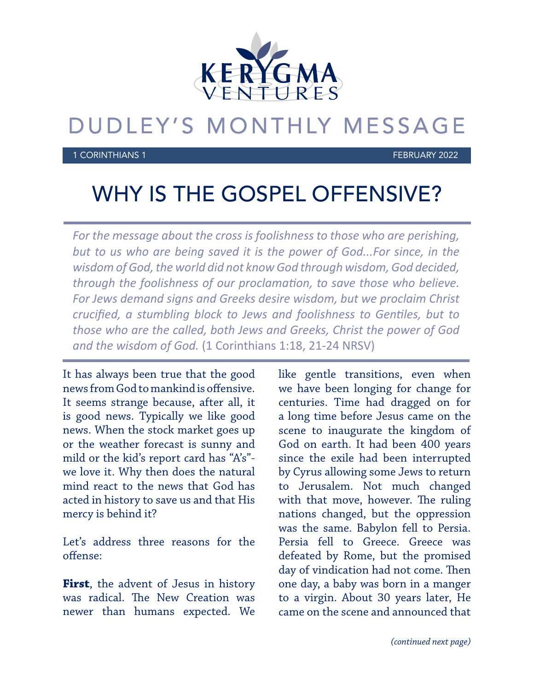

## DUDLEY'S MONTHLY MESSAGE

1 CORINTHIANS 1 FEBRUARY 2022

## WHY IS THE GOSPEL OFFENSIVE?

*For the message about the cross is foolishness to those who are perishing, but to us who are being saved it is the power of God...For since, in the wisdom of God, the world did not know God through wisdom, God decided, through the foolishness of our proclamation, to save those who believe. For Jews demand signs and Greeks desire wisdom, but we proclaim Christ crucified, a stumbling block to Jews and foolishness to Gentiles, but to those who are the called, both Jews and Greeks, Christ the power of God and the wisdom of God.* (1 Corinthians 1:18, 21-24 NRSV)

It has always been true that the good news from God to mankind is offensive. It seems strange because, after all, it is good news. Typically we like good news. When the stock market goes up or the weather forecast is sunny and mild or the kid's report card has "A's" we love it. Why then does the natural mind react to the news that God has acted in history to save us and that His mercy is behind it?

Let's address three reasons for the offense:

**First**, the advent of Jesus in history was radical. The New Creation was newer than humans expected. We like gentle transitions, even when we have been longing for change for centuries. Time had dragged on for a long time before Jesus came on the scene to inaugurate the kingdom of God on earth. It had been 400 years since the exile had been interrupted by Cyrus allowing some Jews to return to Jerusalem. Not much changed with that move, however. The ruling nations changed, but the oppression was the same. Babylon fell to Persia. Persia fell to Greece. Greece was defeated by Rome, but the promised day of vindication had not come. Then one day, a baby was born in a manger to a virgin. About 30 years later, He came on the scene and announced that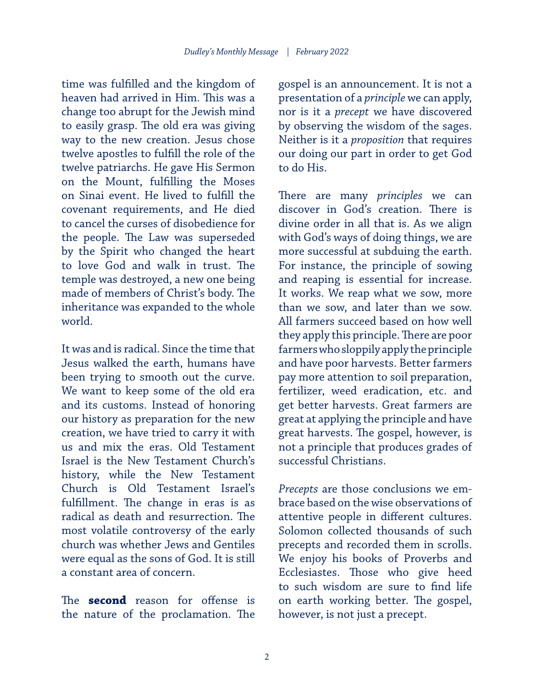time was fulfilled and the kingdom of heaven had arrived in Him. This was a change too abrupt for the Jewish mind to easily grasp. The old era was giving way to the new creation. Jesus chose twelve apostles to fulfill the role of the twelve patriarchs. He gave His Sermon on the Mount, fulfilling the Moses on Sinai event. He lived to fulfill the covenant requirements, and He died to cancel the curses of disobedience for the people. The Law was superseded by the Spirit who changed the heart to love God and walk in trust. The temple was destroyed, a new one being made of members of Christ's body. The inheritance was expanded to the whole world.

It was and is radical. Since the time that Jesus walked the earth, humans have been trying to smooth out the curve. We want to keep some of the old era and its customs. Instead of honoring our history as preparation for the new creation, we have tried to carry it with us and mix the eras. Old Testament Israel is the New Testament Church's history, while the New Testament Church is Old Testament Israel's fulfillment. The change in eras is as radical as death and resurrection. The most volatile controversy of the early church was whether Jews and Gentiles were equal as the sons of God. It is still a constant area of concern.

The **second** reason for offense is the nature of the proclamation. The gospel is an announcement. It is not a presentation of a *principle* we can apply, nor is it a *precept* we have discovered by observing the wisdom of the sages. Neither is it a *proposition* that requires our doing our part in order to get God to do His.

There are many *principles* we can discover in God's creation. There is divine order in all that is. As we align with God's ways of doing things, we are more successful at subduing the earth. For instance, the principle of sowing and reaping is essential for increase. It works. We reap what we sow, more than we sow, and later than we sow. All farmers succeed based on how well they apply this principle. There are poor farmers who sloppily apply the principle and have poor harvests. Better farmers pay more attention to soil preparation, fertilizer, weed eradication, etc. and get better harvests. Great farmers are great at applying the principle and have great harvests. The gospel, however, is not a principle that produces grades of successful Christians.

*Precepts* are those conclusions we embrace based on the wise observations of attentive people in different cultures. Solomon collected thousands of such precepts and recorded them in scrolls. We enjoy his books of Proverbs and Ecclesiastes. Those who give heed to such wisdom are sure to find life on earth working better. The gospel, however, is not just a precept.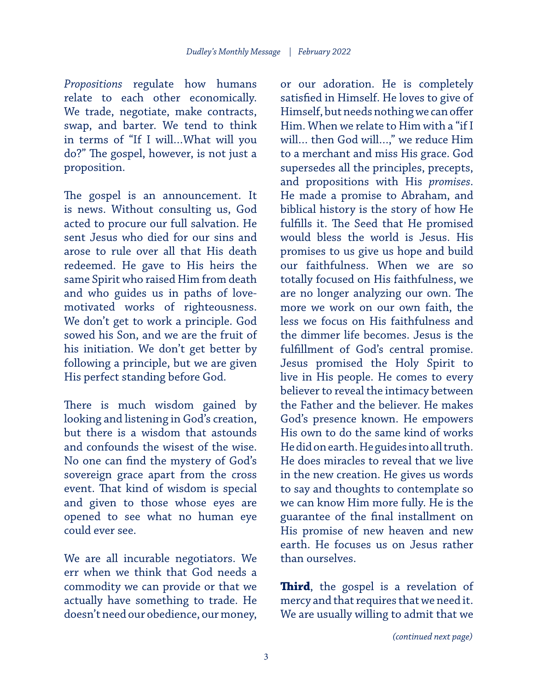*Propositions* regulate how humans relate to each other economically. We trade, negotiate, make contracts, swap, and barter. We tend to think in terms of "If I will…What will you do?" The gospel, however, is not just a proposition.

The gospel is an announcement. It is news. Without consulting us, God acted to procure our full salvation. He sent Jesus who died for our sins and arose to rule over all that His death redeemed. He gave to His heirs the same Spirit who raised Him from death and who guides us in paths of lovemotivated works of righteousness. We don't get to work a principle. God sowed his Son, and we are the fruit of his initiation. We don't get better by following a principle, but we are given His perfect standing before God.

There is much wisdom gained by looking and listening in God's creation, but there is a wisdom that astounds and confounds the wisest of the wise. No one can find the mystery of God's sovereign grace apart from the cross event. That kind of wisdom is special and given to those whose eyes are opened to see what no human eye could ever see.

We are all incurable negotiators. We err when we think that God needs a commodity we can provide or that we actually have something to trade. He doesn't need our obedience, our money,

or our adoration. He is completely satisfied in Himself. He loves to give of Himself, but needs nothing we can offer Him. When we relate to Him with a "if I will… then God will…," we reduce Him to a merchant and miss His grace. God supersedes all the principles, precepts, and propositions with His *promises*. He made a promise to Abraham, and biblical history is the story of how He fulfills it. The Seed that He promised would bless the world is Jesus. His promises to us give us hope and build our faithfulness. When we are so totally focused on His faithfulness, we are no longer analyzing our own. The more we work on our own faith, the less we focus on His faithfulness and the dimmer life becomes. Jesus is the fulfillment of God's central promise. Jesus promised the Holy Spirit to live in His people. He comes to every believer to reveal the intimacy between the Father and the believer. He makes God's presence known. He empowers His own to do the same kind of works He did on earth. He guides into all truth. He does miracles to reveal that we live in the new creation. He gives us words to say and thoughts to contemplate so we can know Him more fully. He is the guarantee of the final installment on His promise of new heaven and new earth. He focuses us on Jesus rather than ourselves.

**Third**, the gospel is a revelation of mercy and that requires that we need it. We are usually willing to admit that we